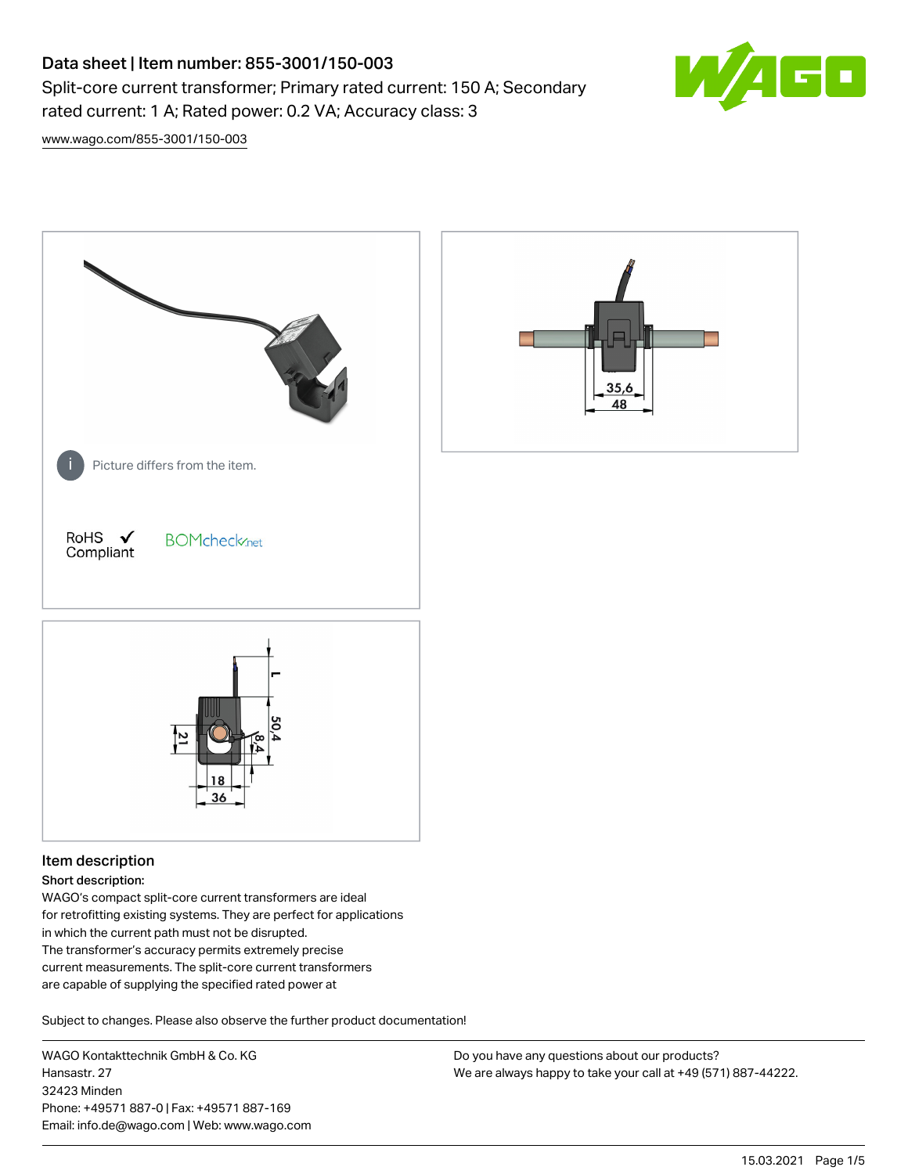# Data sheet | Item number: 855-3001/150-003

Split-core current transformer; Primary rated current: 150 A; Secondary rated current: 1 A; Rated power: 0.2 VA; Accuracy class: 3



[www.wago.com/855-3001/150-003](http://www.wago.com/855-3001/150-003)



# Item description

#### Short description:

WAGO's compact split-core current transformers are ideal for retrofitting existing systems. They are perfect for applications in which the current path must not be disrupted. The transformer's accuracy permits extremely precise current measurements. The split-core current transformers are capable of supplying the specified rated power at

Subject to changes. Please also observe the further product documentation!

WAGO Kontakttechnik GmbH & Co. KG Hansastr. 27 32423 Minden Phone: +49571 887-0 | Fax: +49571 887-169 Email: info.de@wago.com | Web: www.wago.com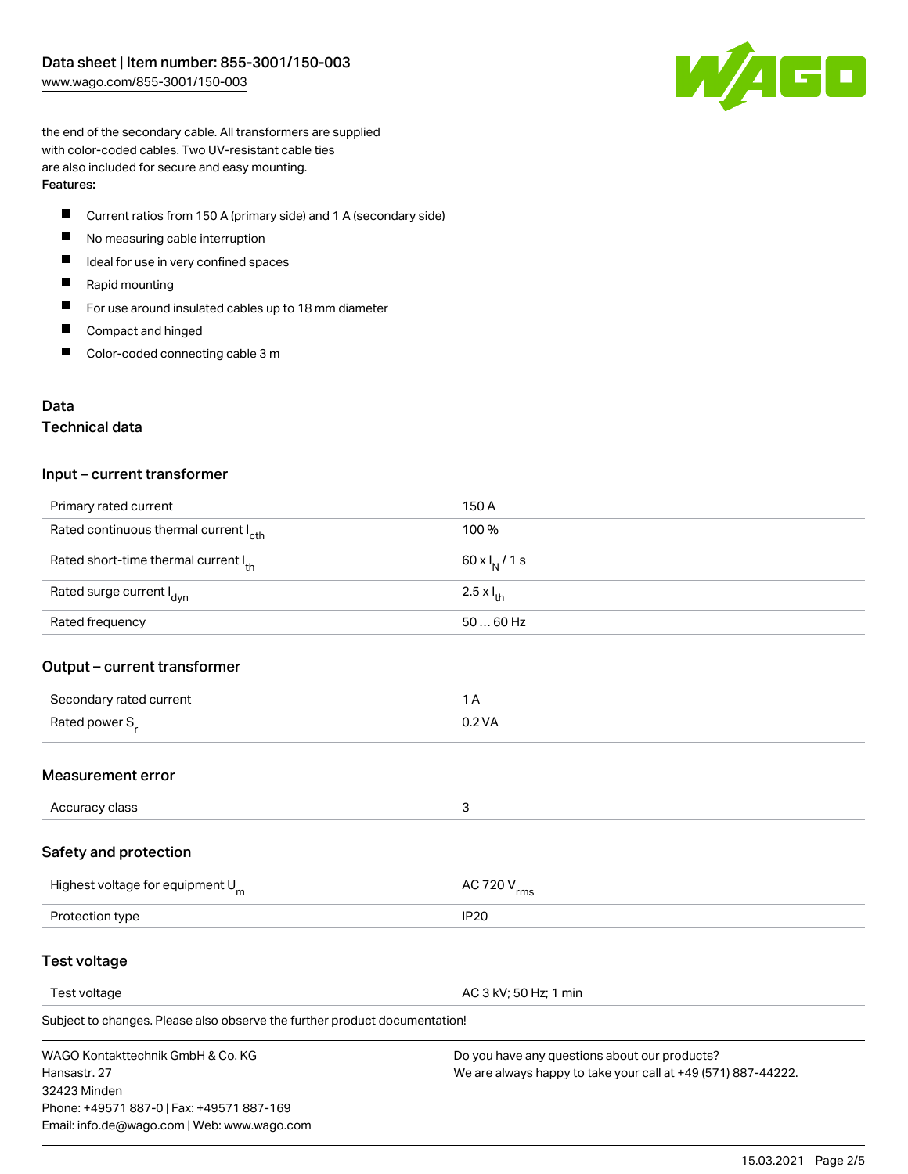

the end of the secondary cable. All transformers are supplied with color-coded cables. Two UV-resistant cable ties are also included for secure and easy mounting. Features:

- П Current ratios from 150 A (primary side) and 1 A (secondary side)
- $\qquad \qquad \blacksquare$ No measuring cable interruption
- $\blacksquare$ Ideal for use in very confined spaces
- $\blacksquare$ Rapid mounting
- $\blacksquare$ For use around insulated cables up to 18 mm diameter
- $\blacksquare$ Compact and hinged
- $\blacksquare$ Color-coded connecting cable 3 m

## Data

## Technical data

#### Input – current transformer

| Primary rated current                             | 150 A                      |
|---------------------------------------------------|----------------------------|
| Rated continuous thermal current I <sub>cth</sub> | 100 %                      |
| Rated short-time thermal current Ith              | 60 x $I_N$ / 1 s           |
| Rated surge current I <sub>dyn</sub>              | $2.5 \times I_{\text{th}}$ |
| Rated frequency                                   | $5060$ Hz                  |

## Output – current transformer

| Secondary rated current    |          |
|----------------------------|----------|
| Rated power S <sub>r</sub> | $0.2$ VA |

## Measurement error

| Accuracy class |  |
|----------------|--|

## Safety and protection

| Highest voltage for equipment $U_m$ | AC 720 V <sub>rms</sub> |
|-------------------------------------|-------------------------|
| Protection type                     | IP <sub>20</sub>        |

## Test voltage

Test voltage **AC 3 kV; 50 Hz; 1 min** 

Subject to changes. Please also observe the further product documentation!

WAGO Kontakttechnik GmbH & Co. KG Hansastr. 27 32423 Minden Phone: +49571 887-0 | Fax: +49571 887-169 Email: info.de@wago.com | Web: www.wago.com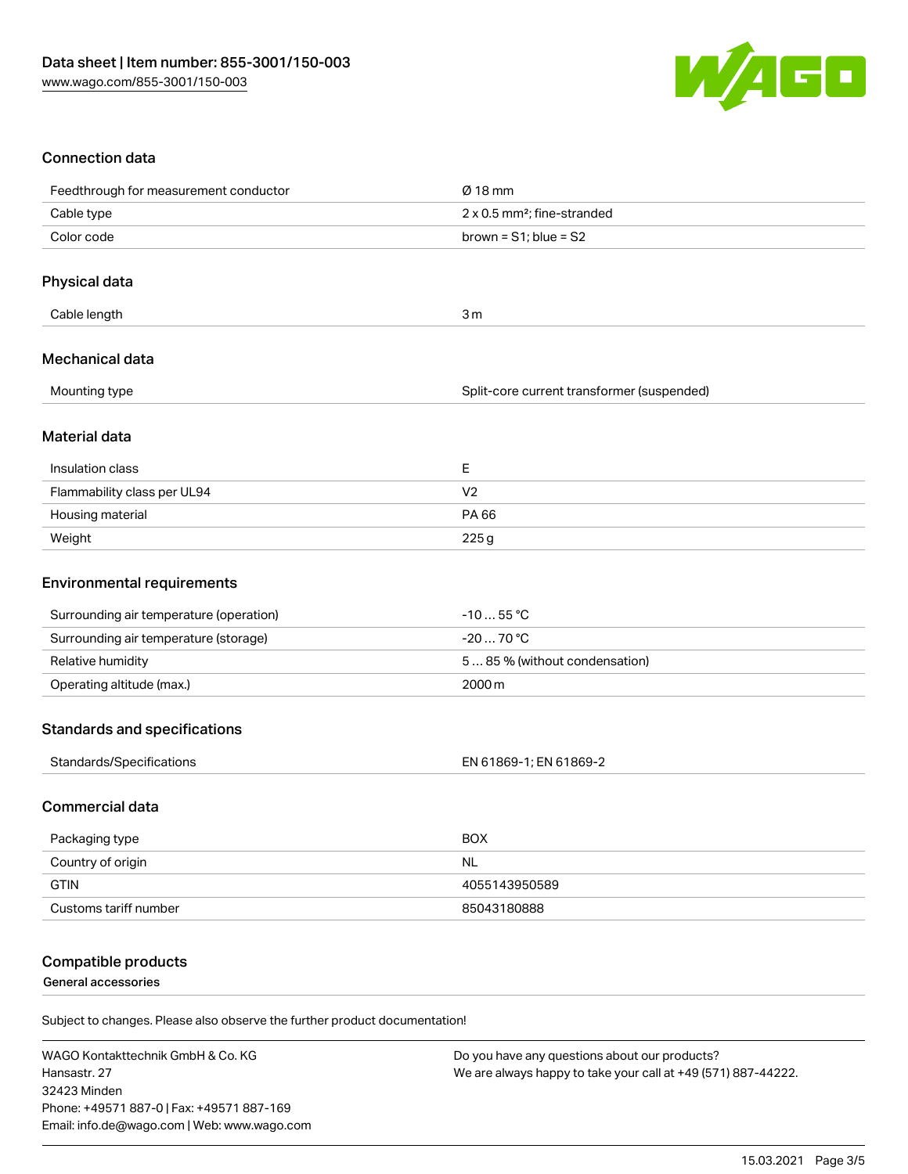

# Connection data

| Feedthrough for measurement conductor   | $Ø$ 18 mm                                  |
|-----------------------------------------|--------------------------------------------|
| Cable type                              | 2 x 0.5 mm <sup>2</sup> ; fine-stranded    |
| Color code                              | brown = $S1$ ; blue = $S2$                 |
|                                         |                                            |
| Physical data                           |                                            |
| Cable length                            | 3 <sub>m</sub>                             |
| Mechanical data                         |                                            |
| Mounting type                           | Split-core current transformer (suspended) |
| Material data                           |                                            |
| Insulation class                        | Ε                                          |
| Flammability class per UL94             | V <sub>2</sub>                             |
| Housing material                        | PA 66                                      |
| Weight                                  | 225g                                       |
| <b>Environmental requirements</b>       |                                            |
| Surrounding air temperature (operation) | $-1055$ °C                                 |
| Surrounding air temperature (storage)   | $-2070 °C$                                 |
| Relative humidity                       | 585% (without condensation)                |
| Operating altitude (max.)               | 2000m                                      |
| <b>Standards and specifications</b>     |                                            |
| Standards/Specifications                | EN 61869-1; EN 61869-2                     |
| <b>Commercial data</b>                  |                                            |
| Packaging type                          | <b>BOX</b>                                 |
| Country of origin                       | <b>NL</b>                                  |
| <b>GTIN</b>                             | 4055143950589                              |

## Compatible products

General accessories

Subject to changes. Please also observe the further product documentation!

Customs tariff number 85043180888

WAGO Kontakttechnik GmbH & Co. KG Hansastr. 27 32423 Minden Phone: +49571 887-0 | Fax: +49571 887-169 Email: info.de@wago.com | Web: www.wago.com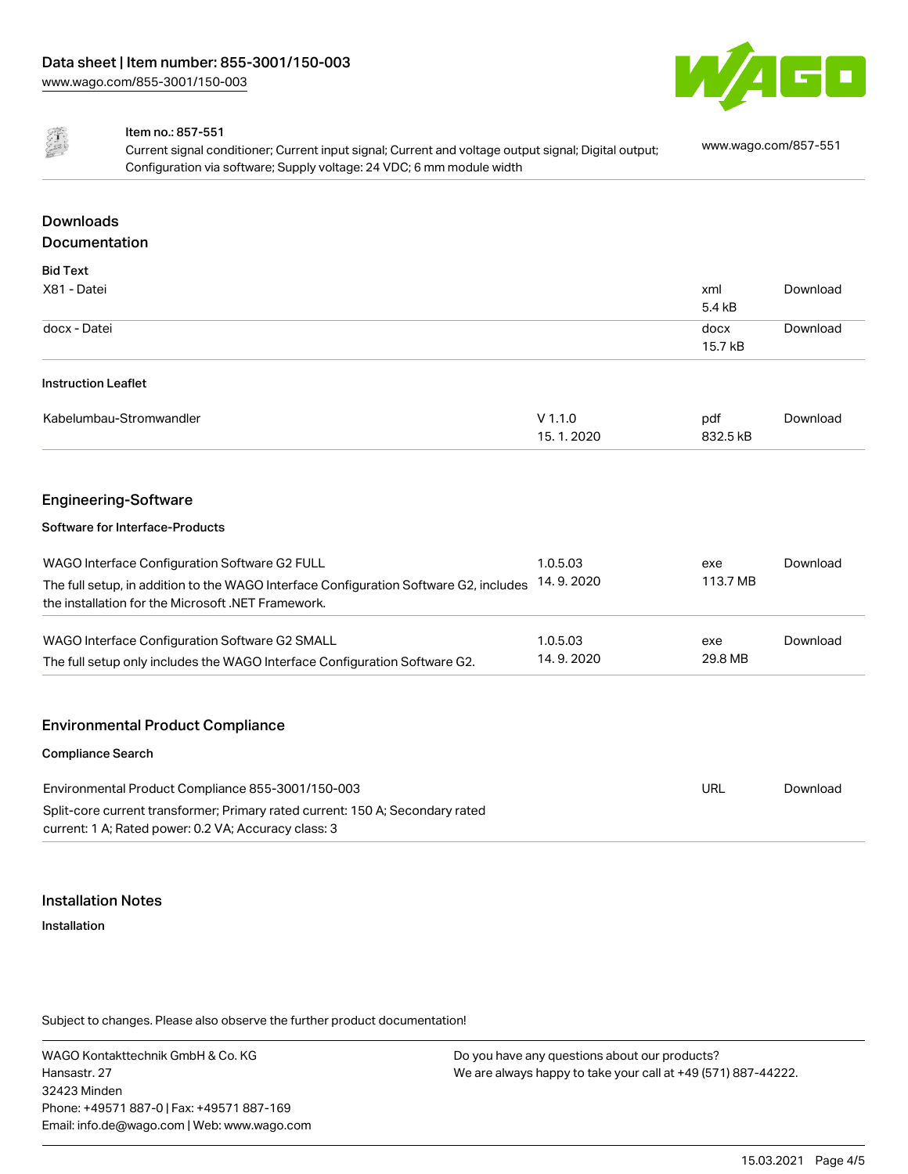



#### Item no.: 857-551

Current signal conditioner; Current input signal; Current and voltage output signal; Digital output; Configuration via software; Supply voltage: 24 VDC; 6 mm module width [www.wago.com/857-551](http://www.wago.com/857-551)

# Downloads Documentation

| <b>Bid Text</b>                                                                       |           |          |          |
|---------------------------------------------------------------------------------------|-----------|----------|----------|
| X81 - Datei                                                                           |           | xml      | Download |
|                                                                                       |           | 5.4 kB   |          |
| docx - Datei                                                                          |           | docx     | Download |
|                                                                                       |           | 15.7 kB  |          |
| <b>Instruction Leaflet</b>                                                            |           |          |          |
| Kabelumbau-Stromwandler                                                               | $V$ 1.1.0 | pdf      | Download |
|                                                                                       | 15.1.2020 | 832.5 kB |          |
|                                                                                       |           |          |          |
| <b>Engineering-Software</b>                                                           |           |          |          |
| Software for Interface-Products                                                       |           |          |          |
| WAGO Interface Configuration Software G2 FULL                                         | 1.0.5.03  | exe      | Download |
| The full setup, in addition to the WAGO Interface Configuration Software G2, includes | 14.9.2020 | 113.7 MB |          |
| the installation for the Microsoft .NET Framework.                                    |           |          |          |

| WAGO Interface Configuration Software G2 SMALL                             | 1.0.5.03    | exe     | Download |
|----------------------------------------------------------------------------|-------------|---------|----------|
| The full setup only includes the WAGO Interface Configuration Software G2. | 14, 9, 2020 | 29.8 MB |          |

# Environmental Product Compliance

| <b>Compliance Search</b>                                                                                                              |     |          |
|---------------------------------------------------------------------------------------------------------------------------------------|-----|----------|
| Environmental Product Compliance 855-3001/150-003                                                                                     | URL | Download |
| Split-core current transformer; Primary rated current: 150 A; Secondary rated<br>current: 1 A; Rated power: 0.2 VA; Accuracy class: 3 |     |          |

#### Installation Notes

Installation

Subject to changes. Please also observe the further product documentation!

WAGO Kontakttechnik GmbH & Co. KG Hansastr. 27 32423 Minden Phone: +49571 887-0 | Fax: +49571 887-169 Email: info.de@wago.com | Web: www.wago.com